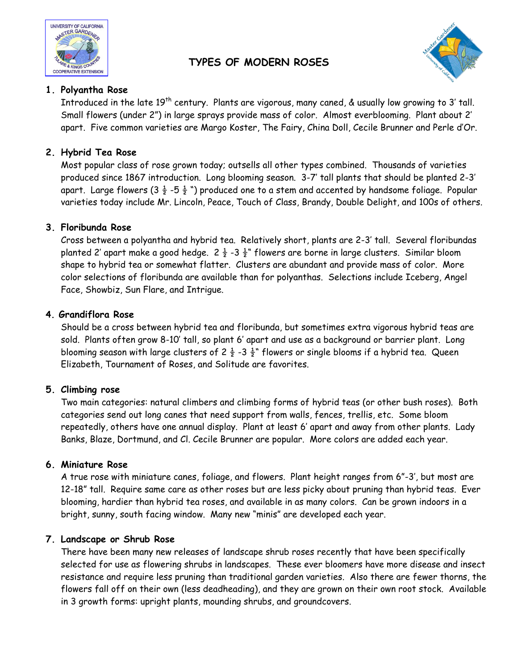

# **TYPES OF MODERN ROSES**



## **1. Polyantha Rose**

Introduced in the late 19<sup>th</sup> century. Plants are vigorous, many caned, & usually low growing to 3' tall. Small flowers (under 2") in large sprays provide mass of color. Almost everblooming. Plant about 2' apart. Five common varieties are Margo Koster, The Fairy, China Doll, Cecile Brunner and Perle d'Or.

## **2. Hybrid Tea Rose**

Most popular class of rose grown today; outsells all other types combined. Thousands of varieties produced since 1867 introduction. Long blooming season. 3-7' tall plants that should be planted 2-3' apart. Large flowers (3  $\frac{1}{2}$  -5  $\frac{1}{2}$  ") produced one to a stem and accented by handsome foliage. Popular varieties today include Mr. Lincoln, Peace, Touch of Class, Brandy, Double Delight, and 100s of others.

## **3. Floribunda Rose**

Cross between a polyantha and hybrid tea. Relatively short, plants are 2-3' tall. Several floribundas planted 2' apart make a good hedge.  $2\frac{1}{2}$  -3  $\frac{1}{2}$ " flowers are borne in large clusters. Similar bloom shape to hybrid tea or somewhat flatter. Clusters are abundant and provide mass of color. More color selections of floribunda are available than for polyanthas. Selections include Iceberg, Angel Face, Showbiz, Sun Flare, and Intrigue.

#### **4. Grandiflora Rose**

Should be a cross between hybrid tea and floribunda, but sometimes extra vigorous hybrid teas are sold. Plants often grow 8-10' tall, so plant 6' apart and use as a background or barrier plant. Long blooming season with large clusters of 2  $\frac{1}{2}$  -3  $\frac{1}{2}$ " flowers or single blooms if a hybrid tea. Queen Elizabeth, Tournament of Roses, and Solitude are favorites.

## **5. Climbing rose**

Two main categories: natural climbers and climbing forms of hybrid teas (or other bush roses). Both categories send out long canes that need support from walls, fences, trellis, etc. Some bloom repeatedly, others have one annual display. Plant at least 6' apart and away from other plants. Lady Banks, Blaze, Dortmund, and Cl. Cecile Brunner are popular. More colors are added each year.

#### **6. Miniature Rose**

A true rose with miniature canes, foliage, and flowers. Plant height ranges from 6"-3', but most are 12-18" tall. Require same care as other roses but are less picky about pruning than hybrid teas. Ever blooming, hardier than hybrid tea roses, and available in as many colors. Can be grown indoors in a bright, sunny, south facing window. Many new "minis" are developed each year.

## **7. Landscape or Shrub Rose**

There have been many new releases of landscape shrub roses recently that have been specifically selected for use as flowering shrubs in landscapes. These ever bloomers have more disease and insect resistance and require less pruning than traditional garden varieties. Also there are fewer thorns, the flowers fall off on their own (less deadheading), and they are grown on their own root stock. Available in 3 growth forms: upright plants, mounding shrubs, and groundcovers.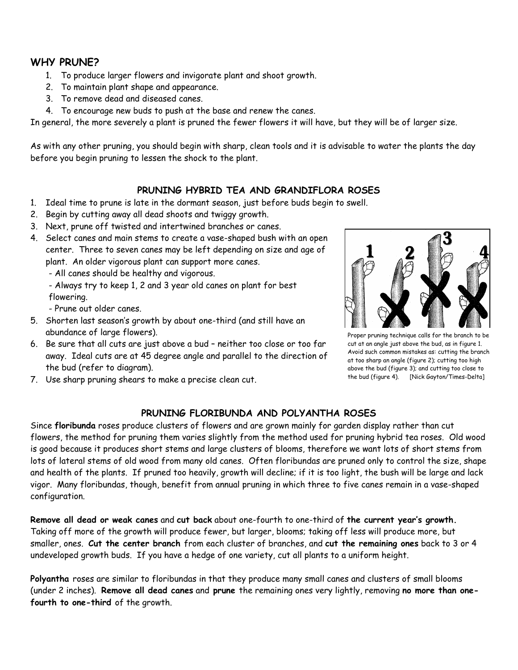## **WHY PRUNE?**

- 1. To produce larger flowers and invigorate plant and shoot growth.
- 2. To maintain plant shape and appearance.
- 3. To remove dead and diseased canes.
- 4. To encourage new buds to push at the base and renew the canes.

In general, the more severely a plant is pruned the fewer flowers it will have, but they will be of larger size.

As with any other pruning, you should begin with sharp, clean tools and it is advisable to water the plants the day before you begin pruning to lessen the shock to the plant.

#### **PRUNING HYBRID TEA AND GRANDIFLORA ROSES**

- 1. Ideal time to prune is late in the dormant season, just before buds begin to swell.
- 2. Begin by cutting away all dead shoots and twiggy growth.
- 3. Next, prune off twisted and intertwined branches or canes.
- 4. Select canes and main stems to create a vase-shaped bush with an open center. Three to seven canes may be left depending on size and age of plant. An older vigorous plant can support more canes.

- All canes should be healthy and vigorous.

- Always try to keep 1, 2 and 3 year old canes on plant for best flowering.

- Prune out older canes.

- 5. Shorten last season's growth by about one-third (and still have an abundance of large flowers).
- 6. Be sure that all cuts are just above a bud neither too close or too far away. Ideal cuts are at 45 degree angle and parallel to the direction of the bud (refer to diagram).



Proper pruning technique calls for the branch to be cut at an angle just above the bud, as in figure 1. Avoid such common mistakes as: cutting the branch at too sharp an angle (figure 2); cutting too high above the bud (figure 3); and cutting too close to the bud (figure 4). [Nick Gayton/Times-Delta]

7. Use sharp pruning shears to make a precise clean cut.

#### **PRUNING FLORIBUNDA AND POLYANTHA ROSES**

Since **floribunda** roses produce clusters of flowers and are grown mainly for garden display rather than cut flowers, the method for pruning them varies slightly from the method used for pruning hybrid tea roses. Old wood is good because it produces short stems and large clusters of blooms, therefore we want lots of short stems from lots of lateral stems of old wood from many old canes. Often floribundas are pruned only to control the size, shape and health of the plants. If pruned too heavily, growth will decline; if it is too light, the bush will be large and lack vigor. Many floribundas, though, benefit from annual pruning in which three to five canes remain in a vase-shaped configuration.

**Remove all dead or weak canes** and **cut back** about one-fourth to one-third of **the current year's growth.** Taking off more of the growth will produce fewer, but larger, blooms; taking off less will produce more, but smaller, ones. **Cut the center branch** from each cluster of branches, and **cut the remaining ones** back to 3 or 4 undeveloped growth buds. If you have a hedge of one variety, cut all plants to a uniform height.

**Polyantha** roses are similar to floribundas in that they produce many small canes and clusters of small blooms (under 2 inches). **Remove all dead canes** and **prune** the remaining ones very lightly, removing **no more than onefourth to one-third** of the growth.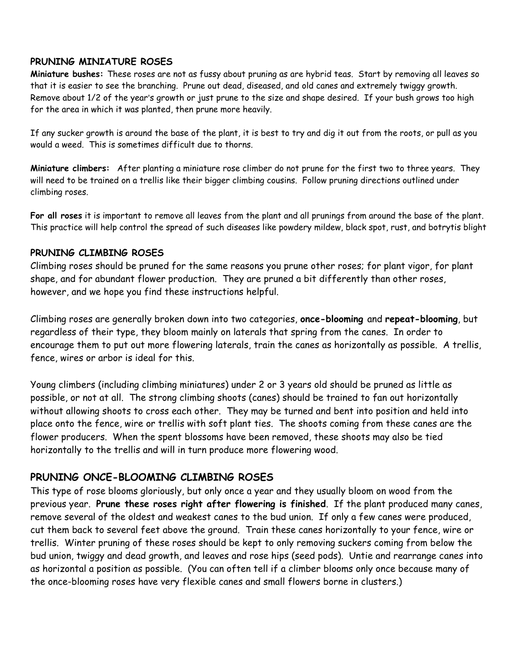#### **PRUNING MINIATURE ROSES**

**Miniature bushes:** These roses are not as fussy about pruning as are hybrid teas. Start by removing all leaves so that it is easier to see the branching. Prune out dead, diseased, and old canes and extremely twiggy growth. Remove about 1/2 of the year's growth or just prune to the size and shape desired. If your bush grows too high for the area in which it was planted, then prune more heavily.

If any sucker growth is around the base of the plant, it is best to try and dig it out from the roots, or pull as you would a weed. This is sometimes difficult due to thorns.

**Miniature climbers:** After planting a miniature rose climber do not prune for the first two to three years. They will need to be trained on a trellis like their bigger climbing cousins. Follow pruning directions outlined under climbing roses.

**For all roses** it is important to remove all leaves from the plant and all prunings from around the base of the plant. This practice will help control the spread of such diseases like powdery mildew, black spot, rust, and botrytis blight

#### **PRUNING CLIMBING ROSES**

Climbing roses should be pruned for the same reasons you prune other roses; for plant vigor, for plant shape, and for abundant flower production. They are pruned a bit differently than other roses, however, and we hope you find these instructions helpful.

Climbing roses are generally broken down into two categories, **once-blooming** and **repeat-blooming**, but regardless of their type, they bloom mainly on laterals that spring from the canes. In order to encourage them to put out more flowering laterals, train the canes as horizontally as possible. A trellis, fence, wires or arbor is ideal for this.

Young climbers (including climbing miniatures) under 2 or 3 years old should be pruned as little as possible, or not at all. The strong climbing shoots (canes) should be trained to fan out horizontally without allowing shoots to cross each other. They may be turned and bent into position and held into place onto the fence, wire or trellis with soft plant ties. The shoots coming from these canes are the flower producers. When the spent blossoms have been removed, these shoots may also be tied horizontally to the trellis and will in turn produce more flowering wood.

## **PRUNING ONCE-BLOOMING CLIMBING ROSES**

This type of rose blooms gloriously, but only once a year and they usually bloom on wood from the previous year. **Prune these roses right after flowering is finished**. If the plant produced many canes, remove several of the oldest and weakest canes to the bud union. If only a few canes were produced, cut them back to several feet above the ground. Train these canes horizontally to your fence, wire or trellis. Winter pruning of these roses should be kept to only removing suckers coming from below the bud union, twiggy and dead growth, and leaves and rose hips (seed pods). Untie and rearrange canes into as horizontal a position as possible. (You can often tell if a climber blooms only once because many of the once-blooming roses have very flexible canes and small flowers borne in clusters.)